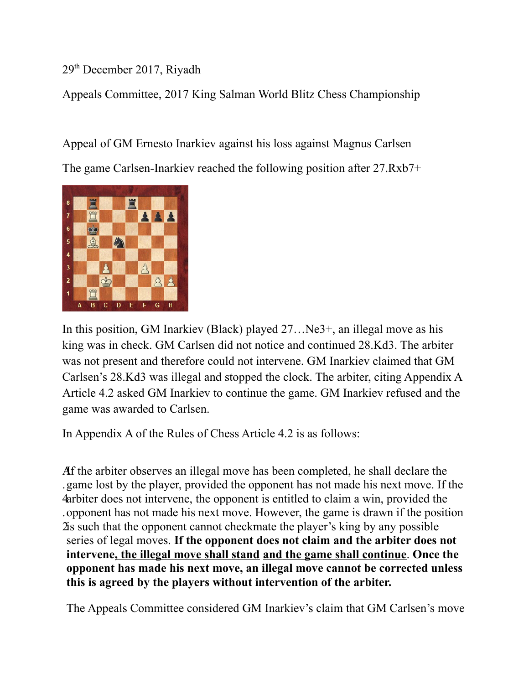29th December 2017, Riyadh

Appeals Committee, 2017 King Salman World Blitz Chess Championship

Appeal of GM Ernesto Inarkiev against his loss against Magnus Carlsen The game Carlsen-Inarkiev reached the following position after 27.Rxb7+



In this position, GM Inarkiev (Black) played 27... Ne3+, an illegal move as his king was in check. GM Carlsen did not notice and continued 28.Kd3. The arbiter was not present and therefore could not intervene. GM Inarkiev claimed that GM Carlsen's 28.Kd3 was illegal and stopped the clock. The arbiter, citing Appendix A Article 4.2 asked GM Inarkiev to continue the game. GM Inarkiev refused and the game was awarded to Carlsen.

In Appendix A of the Rules of Chess Article 4.2 is as follows:

A If the arbiter observes an illegal move has been completed, he shall declare the . game lost by the player, provided the opponent has not made his next move. If the 4 arbiter does not intervene, the opponent is entitled to claim a win, provided the . opponent has not made his next move. However, the game is drawn if the position 2 is such that the opponent cannot checkmate the player's king by any possible series of legal moves. **If the opponent does not claim and the arbiter does not intervene, the illegal move shall stand and the game shall continue**. **Once the opponent has made his next move, an illegal move cannot be corrected unless this is agreed by the players without intervention of the arbiter.**

The Appeals Committee considered GM Inarkiev's claim that GM Carlsen's move